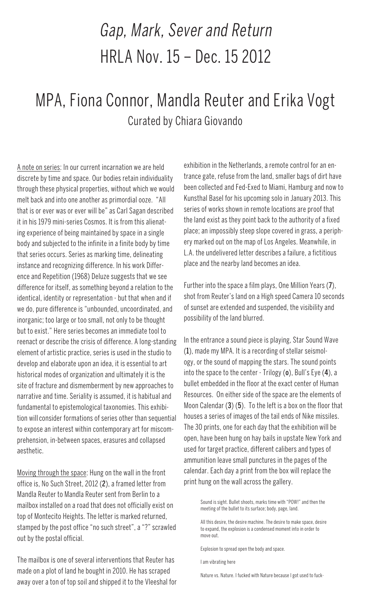## Gap, Mark, Sever and Return HRLA Nov. 15 – Dec. 15 2012

## MPA, Fiona Connor, Mandla Reuter and Erika Vogt Curated by Chiara Giovando

A note on series: In our current incarnation we are held discrete by time and space. Our bodies retain individuality through these physical properties, without which we would melt back and into one another as primordial ooze. "All that is or ever was or ever will be" as Carl Sagan described it in his 1979 mini-series Cosmos. It is from this alienating experience of being maintained by space in a single body and subjected to the infinite in a finite body by time that series occurs. Series as marking time, delineating instance and recognizing difference. In his work Difference and Repetition (1968) Deluze suggests that we see difference for itself, as something beyond a relation to the identical, identity or representation - but that when and if we do, pure difference is "unbounded, uncoordinated, and inorganic; too large or too small, not only to be thought but to exist." Here series becomes an immediate tool to reenact or describe the crisis of difference. A long-standing element of artistic practice, series is used in the studio to develop and elaborate upon an idea, it is essential to art historical modes of organization and ultimately it is the site of fracture and dismemberment by new approaches to narrative and time. Seriality is assumed, it is habitual and fundamental to epistemological taxonomies. This exhibition will consider formations of series other than sequential to expose an interest within contemporary art for miscomprehension, in-between spaces, erasures and collapsed aesthetic.

Moving through the space: Hung on the wall in the front office is, No Such Street, 2012 (2), a framed letter from Mandla Reuter to Mandla Reuter sent from Berlin to a mailbox installed on a road that does not officially exist on top of Montecito Heights. The letter is marked returned, stamped by the post office "no such street", a "?" scrawled out by the postal official.

The mailbox is one of several interventions that Reuter has made on a plot of land he bought in 2010. He has scraped away over a ton of top soil and shipped it to the Vleeshal for

exhibition in the Netherlands, a remote control for an entrance gate, refuse from the land, smaller bags of dirt have been collected and Fed-Exed to Miami, Hamburg and now to Kunsthal Basel for his upcoming solo in January 2013. This series of works shown in remote locations are proof that the land exist as they point back to the authority of a fixed place; an impossibly steep slope covered in grass, a periphery marked out on the map of Los Angeles. Meanwhile, in L.A. the undelivered letter describes a failure, a fictitious place and the nearby land becomes an idea.

Further into the space a film plays, One Million Years (7), shot from Reuter's land on a High speed Camera 10 seconds of sunset are extended and suspended, the visibility and possibility of the land blurred.

In the entrance a sound piece is playing, Star Sound Wave (1), made my MPA. It is a recording of stellar seismology, or the sound of mapping the stars. The sound points into the space to the center - Trilogy  $(o)$ , Bull's Eye  $(4)$ , a bullet embedded in the floor at the exact center of Human Resources. On either side of the space are the elements of Moon Calendar (3) (5). To the left is a box on the floor that houses a series of images of the tail ends of Nike missiles. The 30 prints, one for each day that the exhibition will be open, have been hung on hay bails in upstate New York and used for target practice, different calibers and types of ammunition leave small punctures in the pages of the calendar. Each day a print from the box will replace the print hung on the wall across the gallery.

> Sound is sight. Bullet shoots, marks time with "POW!" and then the meeting of the bullet to its surface; body, page, land.

All this desire, the desire machine. The desire to make space, desire to expand, the explosion is a condensed moment into in order to move out.

Explosion to spread open the body and space.

I am vibrating here

Nature vs. Nature. I fucked with Nature because I got used to fuck-